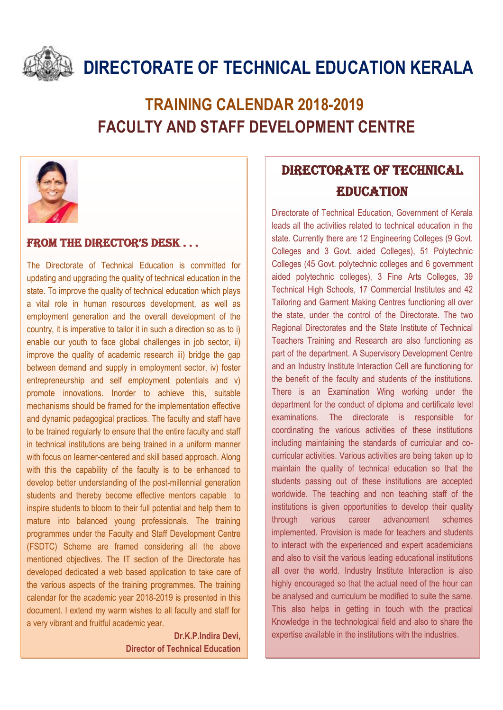

# **DIRECTORATE OF TECHNICAL EDUCATION KERALA**

## **TRAINING CALENDAR 2018-2019 FACULTY AND STAFF DEVELOPMENT CENTRE**



#### From the Director's Desk . . .

The Directorate of Technical Education is committed for updating and upgrading the quality of technical education in the state. To improve the quality of technical education which plays a vital role in human resources development, as well as employment generation and the overall development of the country, it is imperative to tailor it in such a direction so as to i) enable our youth to face global challenges in job sector, ii) improve the quality of academic research iii) bridge the gap between demand and supply in employment sector, iv) foster entrepreneurship and self employment potentials and v) promote innovations. Inorder to achieve this, suitable mechanisms should be framed for the implementation effective and dynamic pedagogical practices. The faculty and staff have to be trained regularly to ensure that the entire faculty and staff in technical institutions are being trained in a uniform manner with focus on learner-centered and skill based approach. Along with this the capability of the faculty is to be enhanced to develop better understanding of the post-millennial generation students and thereby become effective mentors capable to inspire students to bloom to their full potential and help them to mature into balanced young professionals. The training programmes under the Faculty and Staff Development Centre (FSDTC) Scheme are framed considering all the above mentioned objectives. The IT section of the Directorate has developed dedicated a web based application to take care of the various aspects of the training programmes. The training calendar for the academic year 2018-2019 is presented in this document. I extend my warm wishes to all faculty and staff for a very vibrant and fruitful academic year.

> **Dr.K.P.Indira Devi, Director of Technical Education**

### DIRECTORATE OF TECHNICAL EDUCATION

Directorate of Technical Education, Government of Kerala leads all the activities related to technical education in the state. Currently there are 12 Engineering Colleges (9 Govt. Colleges and 3 Govt. aided Colleges), 51 Polytechnic Colleges (45 Govt. polytechnic colleges and 6 government aided polytechnic colleges), 3 Fine Arts Colleges, 39 Technical High Schools, 17 Commercial Institutes and 42 Tailoring and Garment Making Centres functioning all over the state, under the control of the Directorate. The two Regional Directorates and the State Institute of Technical Teachers Training and Research are also functioning as part of the department. A Supervisory Development Centre and an Industry Institute Interaction Cell are functioning for the benefit of the faculty and students of the institutions. There is an Examination Wing working under the department for the conduct of diploma and certificate level examinations. The directorate is responsible for coordinating the various activities of these institutions including maintaining the standards of curricular and cocurricular activities. Various activities are being taken up to maintain the quality of technical education so that the students passing out of these institutions are accepted worldwide. The teaching and non teaching staff of the institutions is given opportunities to develop their quality through various career advancement schemes implemented. Provision is made for teachers and students to interact with the experienced and expert academicians and also to visit the various leading educational institutions all over the world. Industry Institute Interaction is also highly encouraged so that the actual need of the hour can be analysed and curriculum be modified to suite the same. This also helps in getting in touch with the practical Knowledge in the technological field and also to share the expertise available in the institutions with the industries.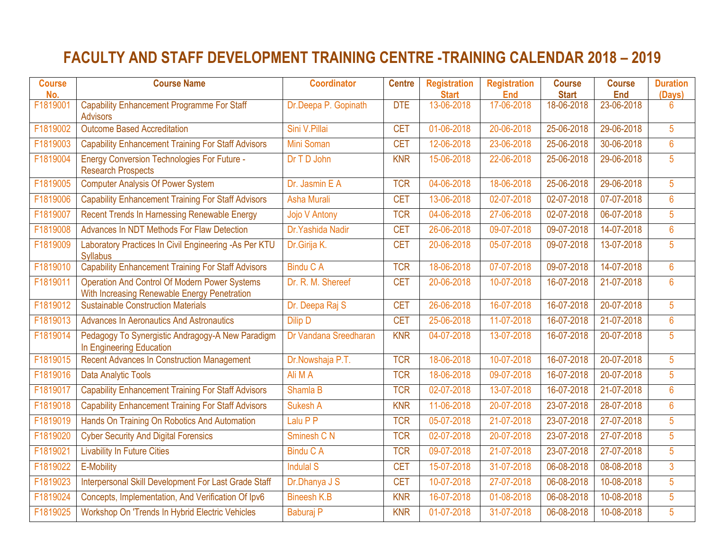### **FACULTY AND STAFF DEVELOPMENT TRAINING CENTRE -TRAINING CALENDAR 2018 – 2019**

| <b>Course</b><br>No. | <b>Course Name</b>                                                                                   | <b>Coordinator</b>    | <b>Centre</b> | <b>Registration</b><br><b>Start</b> | <b>Registration</b><br><b>End</b> | <b>Course</b><br><b>Start</b> | <b>Course</b><br><b>End</b> | <b>Duration</b><br>(Days) |
|----------------------|------------------------------------------------------------------------------------------------------|-----------------------|---------------|-------------------------------------|-----------------------------------|-------------------------------|-----------------------------|---------------------------|
| F1819001             | <b>Capability Enhancement Programme For Staff</b><br><b>Advisors</b>                                 | Dr.Deepa P. Gopinath  | <b>DTE</b>    | 13-06-2018                          | 17-06-2018                        | 18-06-2018                    | 23-06-2018                  | $6\phantom{1}$            |
| F1819002             | <b>Outcome Based Accreditation</b>                                                                   | Sini V.Pillai         | <b>CET</b>    | 01-06-2018                          | 20-06-2018                        | 25-06-2018                    | 29-06-2018                  | 5                         |
| F1819003             | <b>Capability Enhancement Training For Staff Advisors</b>                                            | <b>Mini Soman</b>     | <b>CET</b>    | 12-06-2018                          | 23-06-2018                        | 25-06-2018                    | 30-06-2018                  | $6\phantom{a}$            |
| F1819004             | <b>Energy Conversion Technologies For Future -</b><br><b>Research Prospects</b>                      | Dr T D John           | <b>KNR</b>    | 15-06-2018                          | 22-06-2018                        | 25-06-2018                    | 29-06-2018                  | 5                         |
| F1819005             | <b>Computer Analysis Of Power System</b>                                                             | Dr. Jasmin E A        | <b>TCR</b>    | 04-06-2018                          | 18-06-2018                        | 25-06-2018                    | 29-06-2018                  | 5                         |
| F1819006             | <b>Capability Enhancement Training For Staff Advisors</b>                                            | <b>Asha Murali</b>    | <b>CET</b>    | 13-06-2018                          | 02-07-2018                        | 02-07-2018                    | 07-07-2018                  | $6\phantom{a}$            |
| F1819007             | <b>Recent Trends In Harnessing Renewable Energy</b>                                                  | Jojo V Antony         | <b>TCR</b>    | 04-06-2018                          | 27-06-2018                        | 02-07-2018                    | 06-07-2018                  | $\overline{5}$            |
| F1819008             | Advances In NDT Methods For Flaw Detection                                                           | Dr.Yashida Nadir      | <b>CET</b>    | 26-06-2018                          | 09-07-2018                        | 09-07-2018                    | 14-07-2018                  | $6\phantom{a}$            |
| F1819009             | Laboratory Practices In Civil Engineering -As Per KTU<br><b>Syllabus</b>                             | Dr.Girija K.          | <b>CET</b>    | 20-06-2018                          | 05-07-2018                        | 09-07-2018                    | 13-07-2018                  | 5                         |
| F1819010             | <b>Capability Enhancement Training For Staff Advisors</b>                                            | <b>Bindu C A</b>      | <b>TCR</b>    | 18-06-2018                          | 07-07-2018                        | 09-07-2018                    | 14-07-2018                  | $6\phantom{a}$            |
| F1819011             | <b>Operation And Control Of Modern Power Systems</b><br>With Increasing Renewable Energy Penetration | Dr. R. M. Shereef     | <b>CET</b>    | 20-06-2018                          | 10-07-2018                        | 16-07-2018                    | 21-07-2018                  | $6\phantom{a}$            |
| F1819012             | <b>Sustainable Construction Materials</b>                                                            | Dr. Deepa Raj S       | <b>CET</b>    | 26-06-2018                          | 16-07-2018                        | 16-07-2018                    | 20-07-2018                  | 5                         |
| F1819013             | <b>Advances In Aeronautics And Astronautics</b>                                                      | Dilip D               | <b>CET</b>    | 25-06-2018                          | 11-07-2018                        | 16-07-2018                    | 21-07-2018                  | $6\phantom{1}$            |
| F1819014             | Pedagogy To Synergistic Andragogy-A New Paradigm<br>In Engineering Education                         | Dr Vandana Sreedharan | <b>KNR</b>    | 04-07-2018                          | 13-07-2018                        | 16-07-2018                    | 20-07-2018                  | 5                         |
| F1819015             | <b>Recent Advances In Construction Management</b>                                                    | Dr.Nowshaja P.T.      | <b>TCR</b>    | 18-06-2018                          | 10-07-2018                        | 16-07-2018                    | 20-07-2018                  | 5                         |
| F1819016             | <b>Data Analytic Tools</b>                                                                           | Ali M A               | <b>TCR</b>    | 18-06-2018                          | 09-07-2018                        | 16-07-2018                    | 20-07-2018                  | 5                         |
| F1819017             | <b>Capability Enhancement Training For Staff Advisors</b>                                            | Shamla B              | <b>TCR</b>    | 02-07-2018                          | 13-07-2018                        | 16-07-2018                    | 21-07-2018                  | $6\phantom{a}$            |
| F1819018             | <b>Capability Enhancement Training For Staff Advisors</b>                                            | Sukesh A              | <b>KNR</b>    | 11-06-2018                          | 20-07-2018                        | 23-07-2018                    | 28-07-2018                  | $6\phantom{a}$            |
| F1819019             | Hands On Training On Robotics And Automation                                                         | Lalu P P              | <b>TCR</b>    | 05-07-2018                          | 21-07-2018                        | 23-07-2018                    | 27-07-2018                  | 5                         |
| F1819020             | <b>Cyber Security And Digital Forensics</b>                                                          | Sminesh C N           | <b>TCR</b>    | 02-07-2018                          | 20-07-2018                        | 23-07-2018                    | 27-07-2018                  | $\overline{5}$            |
| F1819021             | <b>Livability In Future Cities</b>                                                                   | <b>Bindu C A</b>      | <b>TCR</b>    | 09-07-2018                          | 21-07-2018                        | 23-07-2018                    | 27-07-2018                  | 5                         |
| F1819022             | E-Mobility                                                                                           | <b>Indulal S</b>      | <b>CET</b>    | 15-07-2018                          | 31-07-2018                        | 06-08-2018                    | 08-08-2018                  | $\overline{3}$            |
| F1819023             | Interpersonal Skill Development For Last Grade Staff                                                 | Dr.Dhanya J S         | <b>CET</b>    | 10-07-2018                          | 27-07-2018                        | 06-08-2018                    | 10-08-2018                  | 5                         |
| F1819024             | Concepts, Implementation, And Verification Of Ipv6                                                   | <b>Bineesh K.B</b>    | <b>KNR</b>    | 16-07-2018                          | 01-08-2018                        | 06-08-2018                    | 10-08-2018                  | 5                         |
| F1819025             | Workshop On 'Trends In Hybrid Electric Vehicles                                                      | Baburaj P             | <b>KNR</b>    | 01-07-2018                          | 31-07-2018                        | 06-08-2018                    | 10-08-2018                  | $\overline{5}$            |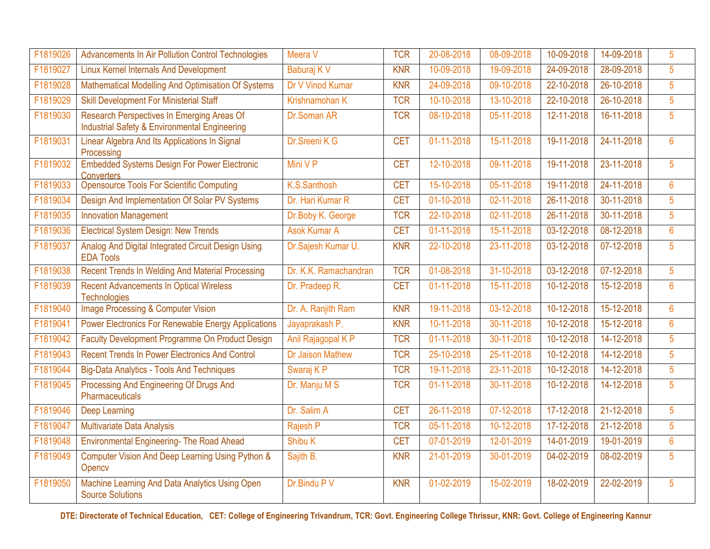| F1819026 | Advancements In Air Pollution Control Technologies                                                     | Meera V                 | <b>TCR</b> | 20-08-2018 | 08-09-2018 | 10-09-2018   | 14-09-2018 | 5               |
|----------|--------------------------------------------------------------------------------------------------------|-------------------------|------------|------------|------------|--------------|------------|-----------------|
| F1819027 | <b>Linux Kernel Internals And Development</b>                                                          | Baburaj K V             | <b>KNR</b> | 10-09-2018 | 19-09-2018 | 24-09-2018   | 28-09-2018 | 5               |
| F1819028 | Mathematical Modelling And Optimisation Of Systems                                                     | Dr V Vinod Kumar        | <b>KNR</b> | 24-09-2018 | 09-10-2018 | 22-10-2018   | 26-10-2018 | $5\phantom{.0}$ |
| F1819029 | <b>Skill Development For Ministerial Staff</b>                                                         | Krishnamohan K          | <b>TCR</b> | 10-10-2018 | 13-10-2018 | 22-10-2018   | 26-10-2018 | 5               |
| F1819030 | Research Perspectives In Emerging Areas Of<br><b>Industrial Safety &amp; Environmental Engineering</b> | Dr.Soman AR             | <b>TCR</b> | 08-10-2018 | 05-11-2018 | 12-11-2018   | 16-11-2018 | 5               |
| F1819031 | Linear Algebra And Its Applications In Signal<br>Processing                                            | Dr.Sreeni K G           | <b>CET</b> | 01-11-2018 | 15-11-2018 | 19-11-2018   | 24-11-2018 | $6\phantom{1}$  |
| F1819032 | <b>Embedded Systems Design For Power Electronic</b><br><b>Converters</b>                               | Mini V P                | <b>CET</b> | 12-10-2018 | 09-11-2018 | 19-11-2018   | 23-11-2018 | 5               |
| F1819033 | Opensource Tools For Scientific Computing                                                              | K.S.Santhosh            | <b>CET</b> | 15-10-2018 | 05-11-2018 | 19-11-2018   | 24-11-2018 | $6\phantom{a}$  |
| F1819034 | Design And Implementation Of Solar PV Systems                                                          | Dr. Hari Kumar R        | <b>CET</b> | 01-10-2018 | 02-11-2018 | 26-11-2018   | 30-11-2018 | $5\phantom{.0}$ |
| F1819035 | <b>Innovation Management</b>                                                                           | Dr.Boby K. George       | <b>TCR</b> | 22-10-2018 | 02-11-2018 | 26-11-2018   | 30-11-2018 | 5 <sup>5</sup>  |
| F1819036 | <b>Electrical System Design: New Trends</b>                                                            | <b>Asok Kumar A</b>     | <b>CET</b> | 01-11-2018 | 15-11-2018 | 03-12-2018   | 08-12-2018 | $6\phantom{a}$  |
| F1819037 | Analog And Digital Integrated Circuit Design Using<br><b>EDA Tools</b>                                 | Dr.Sajesh Kumar U.      | <b>KNR</b> | 22-10-2018 | 23-11-2018 | 03-12-2018   | 07-12-2018 | 5               |
| F1819038 | <b>Recent Trends In Welding And Material Processing</b>                                                | Dr. K.K. Ramachandran   | <b>TCR</b> | 01-08-2018 | 31-10-2018 | 03-12-2018   | 07-12-2018 | 5               |
| F1819039 | <b>Recent Advancements In Optical Wireless</b><br><b>Technologies</b>                                  | Dr. Pradeep R.          | <b>CET</b> | 01-11-2018 | 15-11-2018 | 10-12-2018   | 15-12-2018 | $6\phantom{a}$  |
| F1819040 | <b>Image Processing &amp; Computer Vision</b>                                                          | Dr. A. Ranjith Ram      | <b>KNR</b> | 19-11-2018 | 03-12-2018 | 10-12-2018   | 15-12-2018 | $6\phantom{a}$  |
| F1819041 | <b>Power Electronics For Renewable Energy Applications</b>                                             | Jayaprakash P.          | <b>KNR</b> | 10-11-2018 | 30-11-2018 | 10-12-2018   | 15-12-2018 | $6\phantom{a}$  |
| F1819042 | Faculty Development Programme On Product Design                                                        | Anil Rajagopal K P      | <b>TCR</b> | 01-11-2018 | 30-11-2018 | 10-12-2018   | 14-12-2018 | $\overline{5}$  |
| F1819043 | <b>Recent Trends In Power Electronics And Control</b>                                                  | <b>Dr Jaison Mathew</b> | <b>TCR</b> | 25-10-2018 | 25-11-2018 | $10-12-2018$ | 14-12-2018 | 5               |
| F1819044 | <b>Big-Data Analytics - Tools And Techniques</b>                                                       | Swaraj K P              | <b>TCR</b> | 19-11-2018 | 23-11-2018 | 10-12-2018   | 14-12-2018 | 5               |
| F1819045 | Processing And Engineering Of Drugs And<br><b>Pharmaceuticals</b>                                      | Dr. Manju M S           | <b>TCR</b> | 01-11-2018 | 30-11-2018 | 10-12-2018   | 14-12-2018 | 5 <sup>5</sup>  |
| F1819046 | <b>Deep Learning</b>                                                                                   | Dr. Salim A             | <b>CET</b> | 26-11-2018 | 07-12-2018 | 17-12-2018   | 21-12-2018 | $5\phantom{.0}$ |
| F1819047 | Multivariate Data Analysis                                                                             | Rajesh P                | <b>TCR</b> | 05-11-2018 | 10-12-2018 | 17-12-2018   | 21-12-2018 | $5\phantom{.0}$ |
| F1819048 | <b>Environmental Engineering- The Road Ahead</b>                                                       | Shibu K                 | <b>CET</b> | 07-01-2019 | 12-01-2019 | 14-01-2019   | 19-01-2019 | $6\phantom{a}$  |
| F1819049 | Computer Vision And Deep Learning Using Python &<br>Opency                                             | Sajith B.               | <b>KNR</b> | 21-01-2019 | 30-01-2019 | 04-02-2019   | 08-02-2019 | 5               |
| F1819050 | Machine Learning And Data Analytics Using Open<br><b>Source Solutions</b>                              | Dr.Bindu P V            | <b>KNR</b> | 01-02-2019 | 15-02-2019 | 18-02-2019   | 22-02-2019 | 5 <sup>5</sup>  |

**DTE: Directorate of Technical Education, CET: College of Engineering Trivandrum, TCR: Govt. Engineering College Thrissur, KNR: Govt. College of Engineering Kannur**